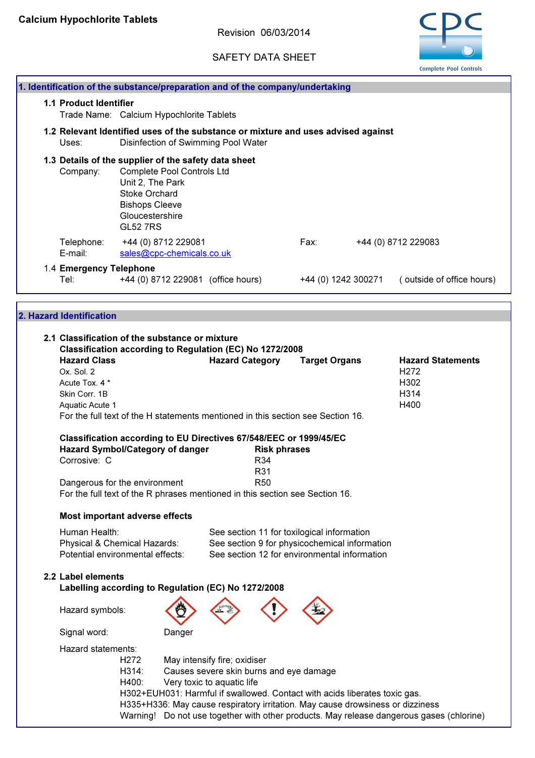Revision 06/03/2014

SAFETY DATA SHEET



|                                                                  |                                                             |                                                  |                                                                                                                          |                     |                      | complete Foor controls                                                                   |
|------------------------------------------------------------------|-------------------------------------------------------------|--------------------------------------------------|--------------------------------------------------------------------------------------------------------------------------|---------------------|----------------------|------------------------------------------------------------------------------------------|
|                                                                  |                                                             |                                                  | 1. Identification of the substance/preparation and of the company/undertaking                                            |                     |                      |                                                                                          |
| 1.1 Product Identifier                                           |                                                             |                                                  |                                                                                                                          |                     |                      |                                                                                          |
|                                                                  | Trade Name: Calcium Hypochlorite Tablets                    |                                                  |                                                                                                                          |                     |                      |                                                                                          |
|                                                                  |                                                             |                                                  |                                                                                                                          |                     |                      |                                                                                          |
| Uses:                                                            |                                                             |                                                  | 1.2 Relevant Identified uses of the substance or mixture and uses advised against<br>Disinfection of Swimming Pool Water |                     |                      |                                                                                          |
| 1.3 Details of the supplier of the safety data sheet<br>Company: | Unit 2, The Park<br><b>Stoke Orchard</b>                    | Complete Pool Controls Ltd                       |                                                                                                                          |                     |                      |                                                                                          |
|                                                                  | <b>Bishops Cleeve</b><br>Gloucestershire<br><b>GL52 7RS</b> |                                                  |                                                                                                                          |                     |                      |                                                                                          |
| Telephone:<br>E-mail:                                            |                                                             | +44 (0) 8712 229081<br>sales@cpc-chemicals.co.uk |                                                                                                                          |                     | Fax:                 | +44 (0) 8712 229083                                                                      |
| 1.4 Emergency Telephone                                          |                                                             |                                                  |                                                                                                                          |                     |                      |                                                                                          |
| Tel:                                                             |                                                             |                                                  | +44 (0) 8712 229081 (office hours)                                                                                       |                     | +44 (0) 1242 300271  | (outside of office hours)                                                                |
|                                                                  |                                                             |                                                  |                                                                                                                          |                     |                      |                                                                                          |
|                                                                  |                                                             |                                                  |                                                                                                                          |                     |                      |                                                                                          |
| 2. Hazard Identification                                         |                                                             |                                                  |                                                                                                                          |                     |                      |                                                                                          |
|                                                                  |                                                             |                                                  |                                                                                                                          |                     |                      |                                                                                          |
| 2.1 Classification of the substance or mixture                   |                                                             |                                                  |                                                                                                                          |                     |                      |                                                                                          |
|                                                                  |                                                             |                                                  | Classification according to Regulation (EC) No 1272/2008                                                                 |                     |                      |                                                                                          |
| <b>Hazard Class</b>                                              |                                                             |                                                  | <b>Hazard Category</b>                                                                                                   |                     | <b>Target Organs</b> | <b>Hazard Statements</b>                                                                 |
| Ox. Sol. 2                                                       |                                                             |                                                  |                                                                                                                          |                     |                      | H <sub>2</sub> 72                                                                        |
| Acute Tox. 4 *                                                   |                                                             |                                                  |                                                                                                                          |                     |                      | H302                                                                                     |
| Skin Corr. 1B                                                    |                                                             |                                                  |                                                                                                                          |                     |                      | H314                                                                                     |
| Aquatic Acute 1                                                  |                                                             |                                                  |                                                                                                                          |                     |                      | H400                                                                                     |
|                                                                  |                                                             |                                                  | For the full text of the H statements mentioned in this section see Section 16.                                          |                     |                      |                                                                                          |
|                                                                  |                                                             |                                                  |                                                                                                                          |                     |                      |                                                                                          |
|                                                                  |                                                             |                                                  | Classification according to EU Directives 67/548/EEC or 1999/45/EC                                                       |                     |                      |                                                                                          |
|                                                                  | <b>Hazard Symbol/Category of danger</b>                     |                                                  |                                                                                                                          | <b>Risk phrases</b> |                      |                                                                                          |
| Corrosive: C                                                     |                                                             |                                                  | R34                                                                                                                      |                     |                      |                                                                                          |
|                                                                  |                                                             |                                                  | R31                                                                                                                      |                     |                      |                                                                                          |
|                                                                  | Dangerous for the environment                               |                                                  | R <sub>50</sub>                                                                                                          |                     |                      |                                                                                          |
|                                                                  |                                                             |                                                  | For the full text of the R phrases mentioned in this section see Section 16.                                             |                     |                      |                                                                                          |
|                                                                  | Most important adverse effects                              |                                                  |                                                                                                                          |                     |                      |                                                                                          |
| Human Health:                                                    |                                                             |                                                  |                                                                                                                          |                     |                      |                                                                                          |
|                                                                  | Physical & Chemical Hazards:                                |                                                  | See section 11 for toxilogical information<br>See section 9 for physicochemical information                              |                     |                      |                                                                                          |
|                                                                  | Potential environmental effects:                            |                                                  | See section 12 for environmental information                                                                             |                     |                      |                                                                                          |
|                                                                  |                                                             |                                                  |                                                                                                                          |                     |                      |                                                                                          |
| 2.2 Label elements                                               |                                                             |                                                  |                                                                                                                          |                     |                      |                                                                                          |
|                                                                  |                                                             |                                                  | Labelling according to Regulation (EC) No 1272/2008                                                                      |                     |                      |                                                                                          |
|                                                                  |                                                             |                                                  |                                                                                                                          |                     |                      |                                                                                          |
| Hazard symbols:                                                  |                                                             |                                                  |                                                                                                                          |                     |                      |                                                                                          |
| Signal word:                                                     |                                                             | Danger                                           |                                                                                                                          |                     |                      |                                                                                          |
| Hazard statements:                                               |                                                             |                                                  |                                                                                                                          |                     |                      |                                                                                          |
|                                                                  | H <sub>2</sub> 72                                           |                                                  |                                                                                                                          |                     |                      |                                                                                          |
|                                                                  | H314:                                                       |                                                  | May intensify fire; oxidiser<br>Causes severe skin burns and eye damage                                                  |                     |                      |                                                                                          |
|                                                                  | H400:                                                       |                                                  |                                                                                                                          |                     |                      |                                                                                          |
|                                                                  |                                                             |                                                  | Very toxic to aquatic life                                                                                               |                     |                      |                                                                                          |
|                                                                  |                                                             |                                                  | H302+EUH031: Harmful if swallowed. Contact with acids liberates toxic gas.                                               |                     |                      |                                                                                          |
|                                                                  |                                                             |                                                  | H335+H336: May cause respiratory irritation. May cause drowsiness or dizziness                                           |                     |                      |                                                                                          |
|                                                                  |                                                             |                                                  |                                                                                                                          |                     |                      | Warning! Do not use together with other products. May release dangerous gases (chlorine) |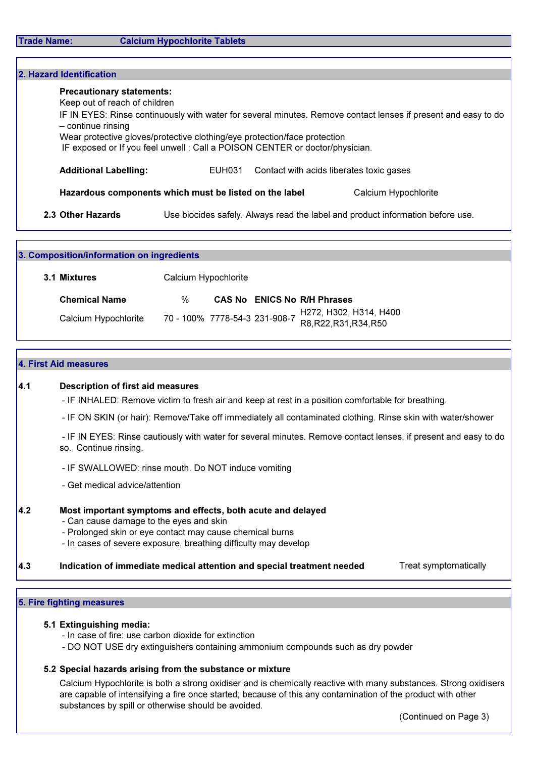| Keep out of reach of children<br>$-$ continue rinsing<br>Wear protective gloves/protective clothing/eye protection/face protection<br>IF exposed or If you feel unwell: Call a POISON CENTER or doctor/physician.<br><b>Additional Labelling:</b> |  |  | IF IN EYES: Rinse continuously with water for several minutes. Remove contact lenses if present and easy to do |                                                                                |
|---------------------------------------------------------------------------------------------------------------------------------------------------------------------------------------------------------------------------------------------------|--|--|----------------------------------------------------------------------------------------------------------------|--------------------------------------------------------------------------------|
|                                                                                                                                                                                                                                                   |  |  |                                                                                                                |                                                                                |
|                                                                                                                                                                                                                                                   |  |  |                                                                                                                |                                                                                |
|                                                                                                                                                                                                                                                   |  |  |                                                                                                                |                                                                                |
|                                                                                                                                                                                                                                                   |  |  |                                                                                                                |                                                                                |
| EUH031                                                                                                                                                                                                                                            |  |  | Contact with acids liberates toxic gases                                                                       |                                                                                |
|                                                                                                                                                                                                                                                   |  |  | Calcium Hypochlorite                                                                                           |                                                                                |
|                                                                                                                                                                                                                                                   |  |  |                                                                                                                |                                                                                |
|                                                                                                                                                                                                                                                   |  |  | Hazardous components which must be listed on the label                                                         | Use biocides safely. Always read the label and product information before use. |

| 3.1 Mixtures         | Calcium Hypochlorite                                                          |  |
|----------------------|-------------------------------------------------------------------------------|--|
| <b>Chemical Name</b> | %<br><b>CAS No ENICS No R/H Phrases</b>                                       |  |
| Calcium Hypochlorite | 70 - 100%  7778-54-3 231-908-7   H272, H302, H314, H400<br>R8,R22,R31,R34,R50 |  |

#### 4. First Aid measures

#### 4.1 Description of first aid measures

- IF INHALED: Remove victim to fresh air and keep at rest in a position comfortable for breathing.

- IF ON SKIN (or hair): Remove/Take off immediately all contaminated clothing. Rinse skin with water/shower

 - IF IN EYES: Rinse cautiously with water for several minutes. Remove contact lenses, if present and easy to do so. Continue rinsing.

- IF SWALLOWED: rinse mouth. Do NOT induce vomiting
- Get medical advice/attention

## 4.2 Most important symptoms and effects, both acute and delayed

- Can cause damage to the eyes and skin
- Prolonged skin or eye contact may cause chemical burns
- In cases of severe exposure, breathing difficulty may develop

```
4.3 Indication of immediate medical attention and special treatment needed Treat symptomatically
```
## 5. Fire fighting measures

## 5.1 Extinguishing media:

- In case of fire: use carbon dioxide for extinction

- DO NOT USE dry extinguishers containing ammonium compounds such as dry powder

## 5.2 Special hazards arising from the substance or mixture

Calcium Hypochlorite is both a strong oxidiser and is chemically reactive with many substances. Strong oxidisers are capable of intensifying a fire once started; because of this any contamination of the product with other substances by spill or otherwise should be avoided.

(Continued on Page 3)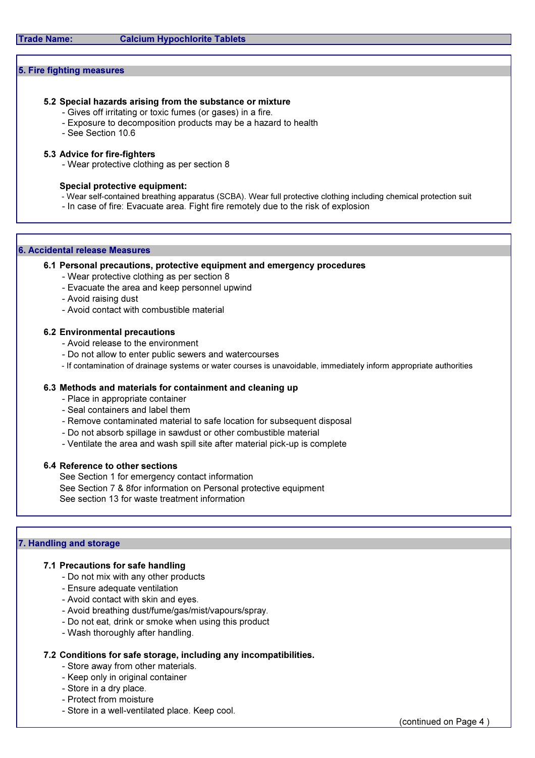#### 5. Fire fighting measures

### 5.2 Special hazards arising from the substance or mixture

- Gives off irritating or toxic fumes (or gases) in a fire.
- Exposure to decomposition products may be a hazard to health
- See Section 10.6

#### 5.3 Advice for fire-fighters

- Wear protective clothing as per section 8

#### Special protective equipment:

- Wear self-contained breathing apparatus (SCBA). Wear full protective clothing including chemical protection suit
- In case of fire: Evacuate area. Fight fire remotely due to the risk of explosion

#### 6. Accidental release Measures

6.1 Personal precautions, protective equipment and emergency procedures

- Wear protective clothing as per section 8
- Evacuate the area and keep personnel upwind
- Avoid raising dust
- Avoid contact with combustible material

#### 6.2 Environmental precautions

- Avoid release to the environment
- Do not allow to enter public sewers and watercourses
- If contamination of drainage systems or water courses is unavoidable, immediately inform appropriate authorities

### 6.3 Methods and materials for containment and cleaning up

- Place in appropriate container
- Seal containers and label them
- Remove contaminated material to safe location for subsequent disposal
- Do not absorb spillage in sawdust or other combustible material
- Ventilate the area and wash spill site after material pick-up is complete

#### 6.4 Reference to other sections

See Section 7 & 8for information on Personal protective equipment See section 13 for waste treatment information See Section 1 for emergency contact information

#### 7. Handling and storage

### 7.1 Precautions for safe handling

- Do not mix with any other products
- Ensure adequate ventilation
- Avoid contact with skin and eyes.
- Avoid breathing dust/fume/gas/mist/vapours/spray.
- Do not eat, drink or smoke when using this product
- Wash thoroughly after handling.

## 7.2 Conditions for safe storage, including any incompatibilities.

- Store away from other materials.
- Keep only in original container
- Store in a dry place.
- Protect from moisture
- Store in a well-ventilated place. Keep cool.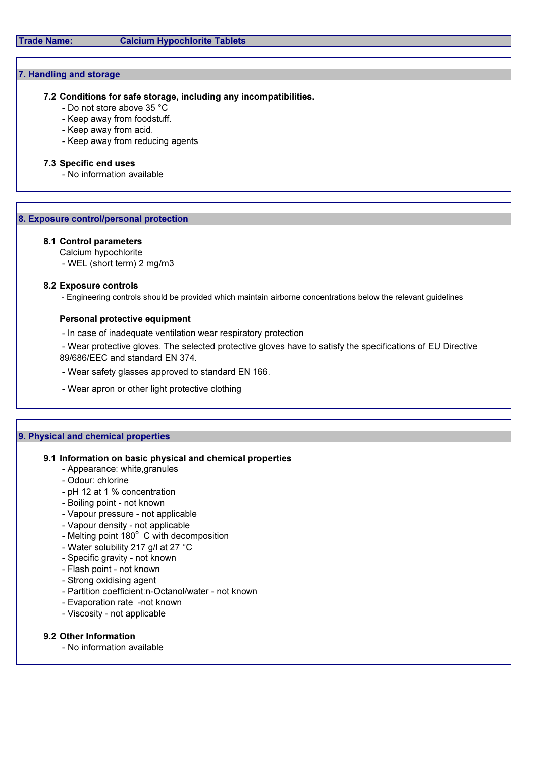## 7. Handling and storage

## 7.2 Conditions for safe storage, including any incompatibilities.

- Do not store above 35 °C
- Keep away from foodstuff.
- Keep away from acid.
- Keep away from reducing agents

## 7.3 Specific end uses

- No information available

# 8. Exposure control/personal protection

# 8.1 Control parameters

# Calcium hypochlorite

- WEL (short term) 2 mg/m3

# 8.2 Exposure controls

- Engineering controls should be provided which maintain airborne concentrations below the relevant guidelines

# Personal protective equipment

- In case of inadequate ventilation wear respiratory protection

 - Wear protective gloves. The selected protective gloves have to satisfy the specifications of EU Directive 89/686/EEC and standard EN 374.

- Wear safety glasses approved to standard EN 166.
- Wear apron or other light protective clothing

# 9. Physical and chemical properties

# 9.1 Information on basic physical and chemical properties

- Appearance: white,granules
- Odour: chlorine
- pH 12 at 1 % concentration
- Boiling point not known
- Vapour pressure not applicable
- Vapour density not applicable
- Melting point 180° C with decomposition
- Water solubility 217 g/l at 27 °C
- Specific gravity not known
- Flash point not known
- Strong oxidising agent
- Partition coefficient:n-Octanol/water not known
- Evaporation rate -not known
- Viscosity not applicable

# 9.2 Other Information

- No information available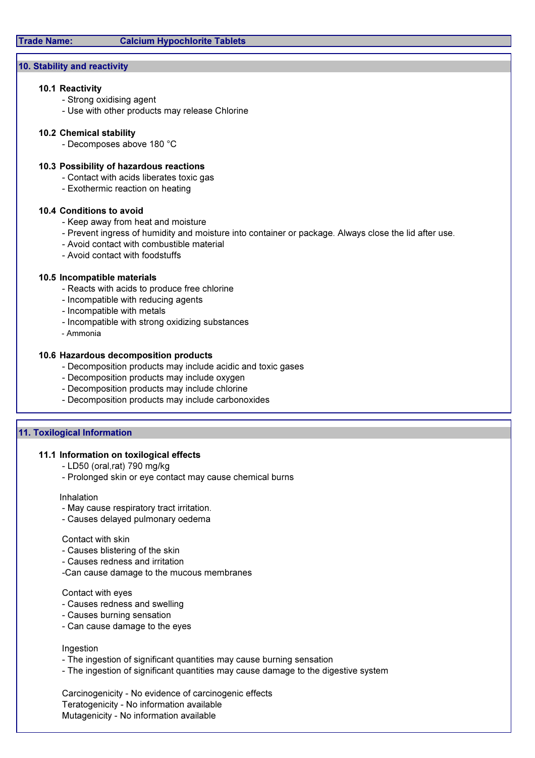## 10. Stability and reactivity

#### 10.1 Reactivity

- Strong oxidising agent
- Use with other products may release Chlorine

#### 10.2 Chemical stability

- Decomposes above 180 °C

### 10.3 Possibility of hazardous reactions

- Contact with acids liberates toxic gas
- Exothermic reaction on heating

### 10.4 Conditions to avoid

- Keep away from heat and moisture
- Prevent ingress of humidity and moisture into container or package. Always close the lid after use.
- Avoid contact with combustible material
- Avoid contact with foodstuffs

#### 10.5 Incompatible materials

- Reacts with acids to produce free chlorine
- Incompatible with reducing agents
- Incompatible with metals
- Incompatible with strong oxidizing substances
- Ammonia

### 10.6 Hazardous decomposition products

- Decomposition products may include acidic and toxic gases
- Decomposition products may include oxygen
- Decomposition products may include chlorine
- Decomposition products may include carbonoxides

### 11. Toxilogical Information

## 11.1 Information on toxilogical effects

- LD50 (oral,rat) 790 mg/kg
- Prolonged skin or eye contact may cause chemical burns

#### Inhalation

- May cause respiratory tract irritation.
- Causes delayed pulmonary oedema

## Contact with skin

- Causes blistering of the skin
- Causes redness and irritation
- -Can cause damage to the mucous membranes

#### Contact with eyes

- Causes redness and swelling
- Causes burning sensation
- Can cause damage to the eyes

#### Ingestion

- The ingestion of significant quantities may cause burning sensation
- The ingestion of significant quantities may cause damage to the digestive system

Carcinogenicity - No evidence of carcinogenic effects Teratogenicity - No information available Mutagenicity - No information available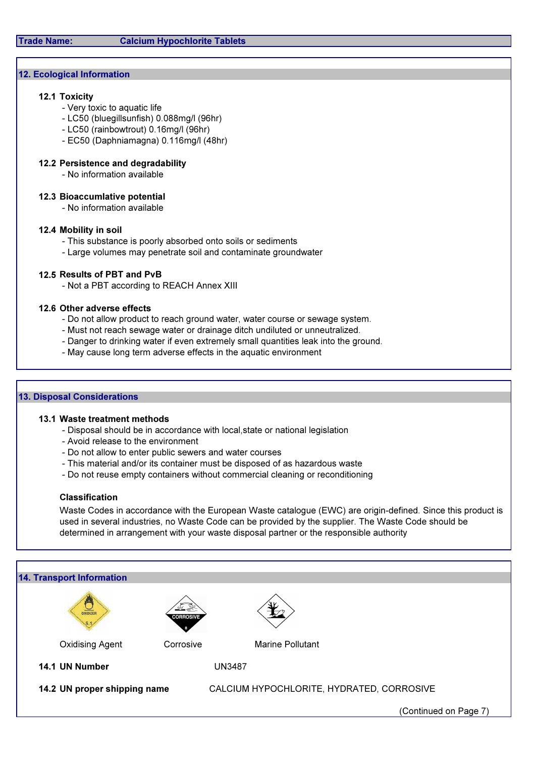## 12. Ecological Information

## 12.1 Toxicity

- Very toxic to aquatic life
- LC50 (bluegillsunfish) 0.088mg/l (96hr)
- LC50 (rainbowtrout) 0.16mg/l (96hr)
- EC50 (Daphniamagna) 0.116mg/l (48hr)

## 12.2 Persistence and degradability

- No information available

## 12.3 Bioaccumlative potential

- No information available

## 12.4 Mobility in soil

- This substance is poorly absorbed onto soils or sediments
- Large volumes may penetrate soil and contaminate groundwater

## 12.5 Results of PBT and PvB

- Not a PBT according to REACH Annex XIII

## 12.6 Other adverse effects

- Do not allow product to reach ground water, water course or sewage system.
- Must not reach sewage water or drainage ditch undiluted or unneutralized.
- Danger to drinking water if even extremely small quantities leak into the ground.
- May cause long term adverse effects in the aquatic environment

## 13. Disposal Considerations

### 13.1 Waste treatment methods

- Disposal should be in accordance with local,state or national legislation
- Avoid release to the environment
- Do not allow to enter public sewers and water courses
- This material and/or its container must be disposed of as hazardous waste
- Do not reuse empty containers without commercial cleaning or reconditioning

### Classification

Waste Codes in accordance with the European Waste catalogue (EWC) are origin-defined. Since this product is used in several industries, no Waste Code can be provided by the supplier. The Waste Code should be determined in arrangement with your waste disposal partner or the responsible authority